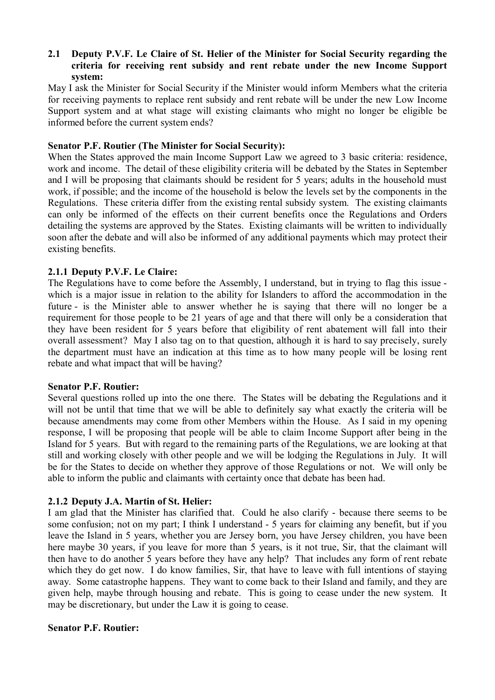## **2.1** � **Deputy P.V.F. Le Claire of St. Helier of the Minister for Social Security regarding the criteria for receiving rent subsidy and rent rebate under the new Income Support system:**

May I ask the Minister for Social Security if the Minister would inform Members what the criteria for receiving payments to replace rent subsidy and rent rebate will be under the new Low Income Support system and at what stage will existing claimants who might no longer be eligible be informed before the current system ends?

## **Senator P.F. Routier (The Minister for Social Security):**

When the States approved the main Income Support Law we agreed to 3 basic criteria: residence, work and income. The detail of these eligibility criteria will be debated by the States in September and I will be proposing that claimants should be resident for 5 years; adults in the household must work, if possible; and the income of the household is below the levels set by the components in the Regulations. These criteria differ from the existing rental subsidy system. The existing claimants can only be informed of the effects on their current benefits once the Regulations and Orders detailing the systems are approved by the States. Existing claimants will be written to individually soon after the debate and will also be informed of any additional payments which may protect their existing benefits.

# **2.1.1 Deputy P.V.F. Le Claire:**

The Regulations have to come before the Assembly, I understand, but in trying to flag this issue which is a major issue in relation to the ability for Islanders to afford the accommodation in the future - is the Minister able to answer whether he is saying that there will no longer be a requirement for those people to be 21 years of age and that there will only be a consideration that they have been resident for 5 years before that eligibility of rent abatement will fall into their overall assessment? May I also tag on to that question, although it is hard to say precisely, surely the department must have an indication at this time as to how many people will be losing rent rebate and what impact that will be having?

### **Senator P.F. Routier:**

Several questions rolled up into the one there. The States will be debating the Regulations and it will not be until that time that we will be able to definitely say what exactly the criteria will be because amendments may come from other Members within the House. As I said in my opening response, I will be proposing that people will be able to claim Income Support after being in the Island for 5 years. But with regard to the remaining parts of the Regulations, we are looking at that still and working closely with other people and we will be lodging the Regulations in July. It will be for the States to decide on whether they approve of those Regulations or not. We will only be able to inform the public and claimants with certainty once that debate has been had.

# **2.1.2 Deputy J.A. Martin of St. Helier:**

I am glad that the Minister has clarified that. Could he also clarify - because there seems to be some confusion; not on my part; I think I understand - 5 years for claiming any benefit, but if you leave the Island in 5 years, whether you are Jersey born, you have Jersey children, you have been here maybe 30 years, if you leave for more than 5 years, is it not true, Sir, that the claimant will then have to do another 5 years before they have any help? That includes any form of rent rebate which they do get now. I do know families, Sir, that have to leave with full intentions of staying away. Some catastrophe happens. They want to come back to their Island and family, and they are given help, maybe through housing and rebate. This is going to cease under the new system. It may be discretionary, but under the Law it is going to cease.

### **Senator P.F. Routier:**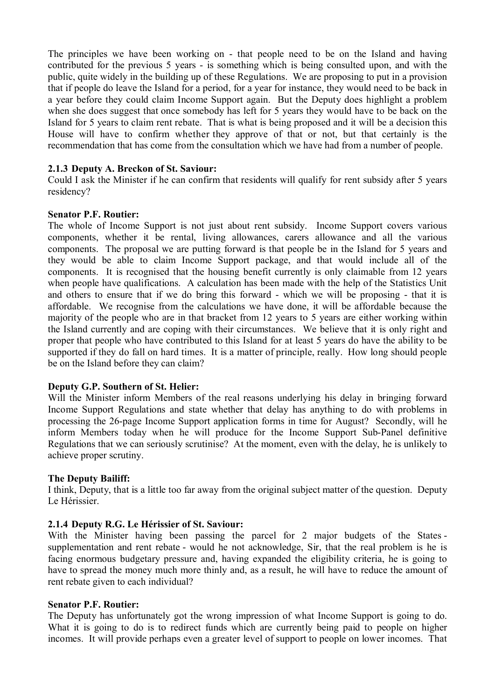The principles we have been working on - that people need to be on the Island and having contributed for the previous 5 years - is something which is being consulted upon, and with the public, quite widely in the building up of these Regulations. We are proposing to put in a provision that if people do leave the Island for a period, for a year for instance, they would need to be back in a year before they could claim Income Support again. But the Deputy does highlight a problem when she does suggest that once somebody has left for 5 years they would have to be back on the Island for 5 years to claim rent rebate. That is what is being proposed and it will be a decision this House will have to confirm whether they approve of that or not, but that certainly is the recommendation that has come from the consultation which we have had from a number of people.

### **2.1.3 Deputy A. Breckon of St. Saviour:**

Could I ask the Minister if he can confirm that residents will qualify for rent subsidy after 5 years residency?

### **Senator P.F. Routier:**

The whole of Income Support is not just about rent subsidy. Income Support covers various components, whether it be rental, living allowances, carers allowance and all the various components. The proposal we are putting forward is that people be in the Island for 5 years and they would be able to claim Income Support package, and that would include all of the components. It is recognised that the housing benefit currently is only claimable from 12 years when people have qualifications. A calculation has been made with the help of the Statistics Unit and others to ensure that if we do bring this forward - which we will be proposing - that it is affordable. We recognise from the calculations we have done, it will be affordable because the majority of the people who are in that bracket from 12 years to 5 years are either working within the Island currently and are coping with their circumstances. We believe that it is only right and proper that people who have contributed to this Island for at least 5 years do have the ability to be supported if they do fall on hard times. It is a matter of principle, really. How long should people be on the Island before they can claim?

### **Deputy G.P. Southern of St. Helier:**

Will the Minister inform Members of the real reasons underlying his delay in bringing forward Income Support Regulations and state whether that delay has anything to do with problems in processing the 26-page Income Support application forms in time for August? Secondly, will he inform Members today when he will produce for the Income Support Sub-Panel definitive Regulations that we can seriously scrutinise? At the moment, even with the delay, he is unlikely to achieve proper scrutiny.

# **The Deputy Bailiff:**

I think, Deputy, that is a little too far away from the original subject matter of the question. Deputy Le Hérissier.

# **2.1.4 Deputy R.G. Le Hérissier of St. Saviour:**

With the Minister having been passing the parcel for 2 major budgets of the States supplementation and rent rebate - would he not acknowledge, Sir, that the real problem is he is facing enormous budgetary pressure and, having expanded the eligibility criteria, he is going to have to spread the money much more thinly and, as a result, he will have to reduce the amount of rent rebate given to each individual?

### **Senator P.F. Routier:**

The Deputy has unfortunately got the wrong impression of what Income Support is going to do. What it is going to do is to redirect funds which are currently being paid to people on higher incomes. It will provide perhaps even a greater level of support to people on lower incomes. That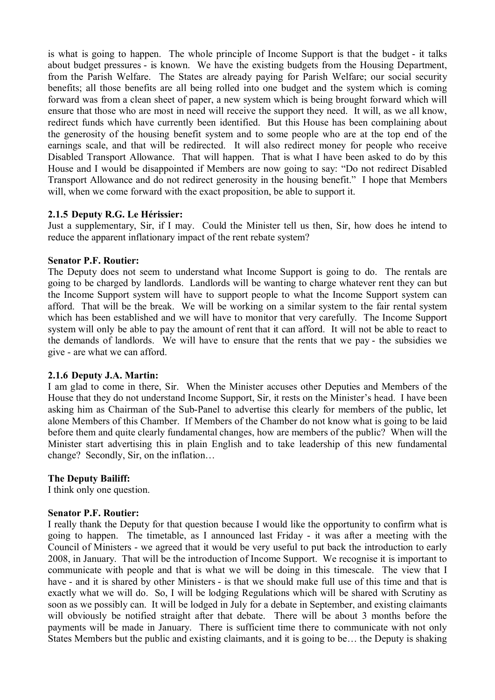is what is going to happen. The whole principle of Income Support is that the budget - it talks about budget pressures - is known. We have the existing budgets from the Housing Department, from the Parish Welfare. The States are already paying for Parish Welfare; our social security benefits; all those benefits are all being rolled into one budget and the system which is coming forward was from a clean sheet of paper, a new system which is being brought forward which will ensure that those who are most in need will receive the support they need. It will, as we all know, redirect funds which have currently been identified. But this House has been complaining about the generosity of the housing benefit system and to some people who are at the top end of the earnings scale, and that will be redirected. It will also redirect money for people who receive Disabled Transport Allowance. That will happen. That is what I have been asked to do by this House and I would be disappointed if Members are now going to say: "Do not redirect Disabled Transport Allowance and do not redirect generosity in the housing benefit." I hope that Members will, when we come forward with the exact proposition, be able to support it.

## **2.1.5 Deputy R.G. Le Hérissier:**

Just a supplementary, Sir, if I may. Could the Minister tell us then, Sir, how does he intend to reduce the apparent inflationary impact of the rent rebate system?

### **Senator P.F. Routier:**

The Deputy does not seem to understand what Income Support is going to do. The rentals are going to be charged by landlords. Landlords will be wanting to charge whatever rent they can but the Income Support system will have to support people to what the Income Support system can afford. That will be the break. We will be working on a similar system to the fair rental system which has been established and we will have to monitor that very carefully. The Income Support system will only be able to pay the amount of rent that it can afford. It will not be able to react to the demands of landlords. We will have to ensure that the rents that we pay - the subsidies we give - are what we can afford.

### **2.1.6 Deputy J.A. Martin:**

I am glad to come in there, Sir. When the Minister accuses other Deputies and Members of the House that they do not understand Income Support, Sir, it rests on the Minister's head. I have been asking him as Chairman of the Sub-Panel to advertise this clearly for members of the public, let alone Members of this Chamber. If Members of the Chamber do not know what is going to be laid before them and quite clearly fundamental changes, how are members of the public? When will the Minister start advertising this in plain English and to take leadership of this new fundamental change? Secondly, Sir, on the inflation…

# **The Deputy Bailiff:**

I think only one question.

### **Senator P.F. Routier:**

 will obviously be notified straight after that debate. There will be about 3 months before the I really thank the Deputy for that question because I would like the opportunity to confirm what is going to happen. The timetable, as I announced last Friday - it was after a meeting with the Council of Ministers - we agreed that it would be very useful to put back the introduction to early 2008, in January. That will be the introduction of Income Support. We recognise it is important to communicate with people and that is what we will be doing in this timescale. The view that I have - and it is shared by other Ministers - is that we should make full use of this time and that is exactly what we will do. So, I will be lodging Regulations which will be shared with Scrutiny as soon as we possibly can. It will be lodged in July for a debate in September, and existing claimants payments will be made in January. There is sufficient time there to communicate with not only States Members but the public and existing claimants, and it is going to be… the Deputy is shaking